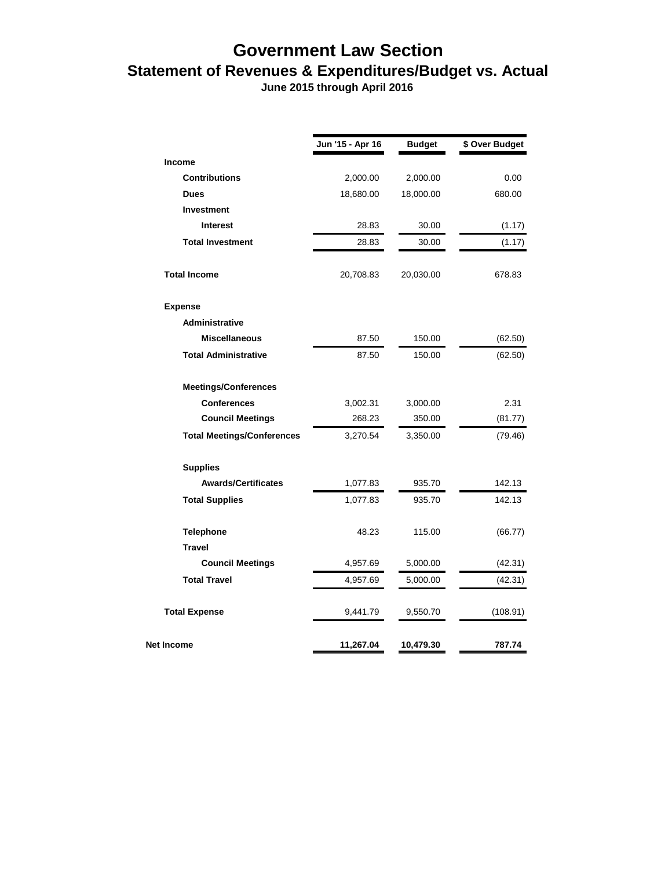## **Government Law Section Statement of Revenues & Expenditures/Budget vs. Actual**

 **June 2015 through April 2016**

|                                   | Jun '15 - Apr 16 | <b>Budget</b> | \$ Over Budget |
|-----------------------------------|------------------|---------------|----------------|
| Income                            |                  |               |                |
| <b>Contributions</b>              | 2,000.00         | 2,000.00      | 0.00           |
| <b>Dues</b>                       | 18,680.00        | 18,000.00     | 680.00         |
| Investment                        |                  |               |                |
| <b>Interest</b>                   | 28.83            | 30.00         | (1.17)         |
| <b>Total Investment</b>           | 28.83            | 30.00         | (1.17)         |
| <b>Total Income</b>               | 20,708.83        | 20,030.00     | 678.83         |
| <b>Expense</b>                    |                  |               |                |
| <b>Administrative</b>             |                  |               |                |
| <b>Miscellaneous</b>              | 87.50            | 150.00        | (62.50)        |
| <b>Total Administrative</b>       | 87.50            | 150.00        | (62.50)        |
| <b>Meetings/Conferences</b>       |                  |               |                |
| <b>Conferences</b>                | 3,002.31         | 3,000.00      | 2.31           |
| <b>Council Meetings</b>           | 268.23           | 350.00        | (81.77)        |
| <b>Total Meetings/Conferences</b> | 3,270.54         | 3,350.00      | (79.46)        |
| <b>Supplies</b>                   |                  |               |                |
| <b>Awards/Certificates</b>        | 1,077.83         | 935.70        | 142.13         |
| <b>Total Supplies</b>             | 1,077.83         | 935.70        | 142.13         |
| <b>Telephone</b>                  | 48.23            | 115.00        | (66.77)        |
| <b>Travel</b>                     |                  |               |                |
| <b>Council Meetings</b>           | 4,957.69         | 5,000.00      | (42.31)        |
| <b>Total Travel</b>               | 4,957.69         | 5,000.00      | (42.31)        |
| <b>Total Expense</b>              | 9,441.79         | 9,550.70      | (108.91)       |
| Net Income                        | 11,267.04        | 10,479.30     | 787.74         |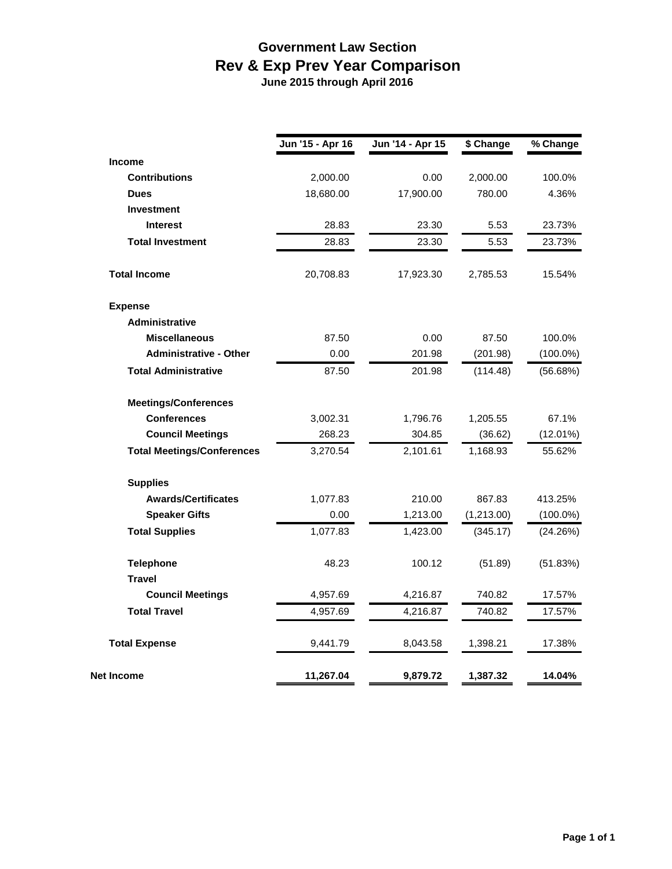## **Government Law Section Rev & Exp Prev Year Comparison June 2015 through April 2016**

|                                   | Jun '15 - Apr 16 | Jun '14 - Apr 15 | \$ Change  | % Change    |
|-----------------------------------|------------------|------------------|------------|-------------|
| Income                            |                  |                  |            |             |
| <b>Contributions</b>              | 2,000.00         | 0.00             | 2,000.00   | 100.0%      |
| <b>Dues</b>                       | 18,680.00        | 17,900.00        | 780.00     | 4.36%       |
| <b>Investment</b>                 |                  |                  |            |             |
| <b>Interest</b>                   | 28.83            | 23.30            | 5.53       | 23.73%      |
| <b>Total Investment</b>           | 28.83            | 23.30            | 5.53       | 23.73%      |
| <b>Total Income</b>               | 20,708.83        | 17,923.30        | 2,785.53   | 15.54%      |
| <b>Expense</b>                    |                  |                  |            |             |
| <b>Administrative</b>             |                  |                  |            |             |
| <b>Miscellaneous</b>              | 87.50            | 0.00             | 87.50      | 100.0%      |
| <b>Administrative - Other</b>     | 0.00             | 201.98           | (201.98)   | $(100.0\%)$ |
| <b>Total Administrative</b>       | 87.50            | 201.98           | (114.48)   | (56.68%)    |
| <b>Meetings/Conferences</b>       |                  |                  |            |             |
| <b>Conferences</b>                | 3,002.31         | 1,796.76         | 1,205.55   | 67.1%       |
| <b>Council Meetings</b>           | 268.23           | 304.85           | (36.62)    | (12.01%)    |
| <b>Total Meetings/Conferences</b> | 3,270.54         | 2,101.61         | 1,168.93   | 55.62%      |
| <b>Supplies</b>                   |                  |                  |            |             |
| <b>Awards/Certificates</b>        | 1,077.83         | 210.00           | 867.83     | 413.25%     |
| <b>Speaker Gifts</b>              | 0.00             | 1,213.00         | (1,213.00) | $(100.0\%)$ |
| <b>Total Supplies</b>             | 1,077.83         | 1,423.00         | (345.17)   | (24.26%)    |
| <b>Telephone</b>                  | 48.23            | 100.12           | (51.89)    | (51.83%)    |
| <b>Travel</b>                     |                  |                  |            |             |
| <b>Council Meetings</b>           | 4,957.69         | 4,216.87         | 740.82     | 17.57%      |
| <b>Total Travel</b>               | 4,957.69         | 4,216.87         | 740.82     | 17.57%      |
| <b>Total Expense</b>              | 9,441.79         | 8,043.58         | 1,398.21   | 17.38%      |
| <b>Net Income</b>                 | 11,267.04        | 9,879.72         | 1,387.32   | 14.04%      |